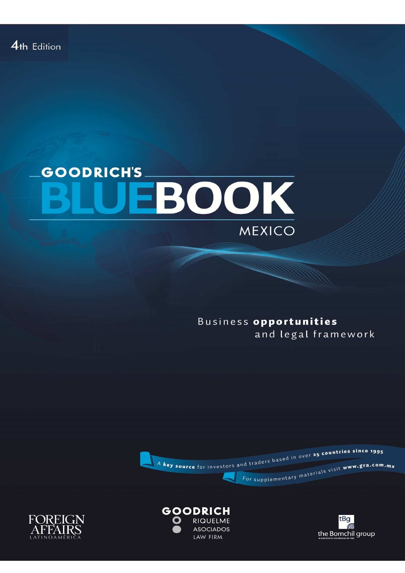# **GOODRICH'S** EBOOK MEXICO

Business opportunities and legal framework







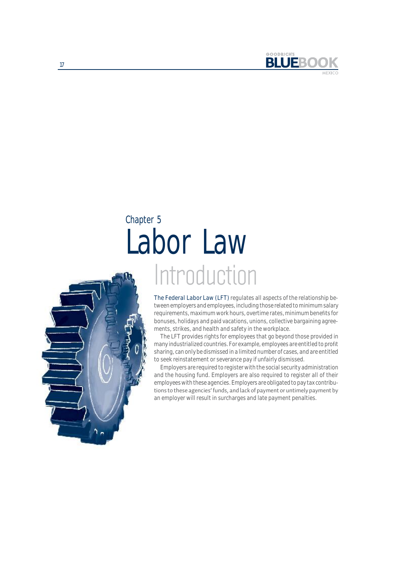

# Introduction Labor Law Chapter 5

The Federal Labor Law (LFT) regulates all aspects of the relationship between employers and employees, including those related to minimum salary requirements, maximum work hours, overtime rates, minimum benefits for bonuses, holidays and paid vacations, unions, collective bargaining agreements, strikes, and health and safety in the workplace. The LFT provides rights for employees that go beyond those provided in many industrialized countries. For example, employees are entitled to profit sharing, can only be dismissed in a limited number of cases, and are entitled to seek reinstatement or severance pay if unfairly dismissed.

Employers are required to register with the social security administration and the housing fund. Employers are also required to register all of their employees with these agencies. Employers are obligated to pay tax contributions to these agencies' funds, and lack of payment or untimely payment by an employer will result in surcharges and late payment penalties.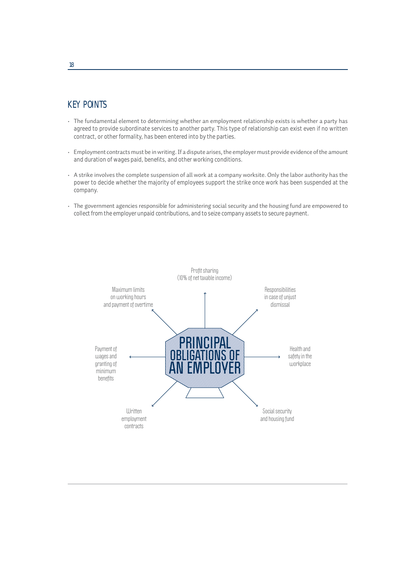## **KFY POINTS**

- The fundamental element to determining whether an employment relationship exists is whether a party has agreed to provide subordinate services to another party. This type of relationship can exist even if no written contract, or other formality, has been entered into by the parties.
- Employment contracts must be in writing. If a dispute arises, the employer must provide evidence of the amount k, and duration of wages paid, benefits, and other working conditions.
- A strike involves the complete suspension of all work at a company worksite. Only the labor authority has the power to decide whether the majority of employees support the strike once work has been suspended at the company.
- The government agencies responsible for administering social security and the housing fund are empowered to collect from the employer unpaid contributions, and to seize company assets to secure payment.

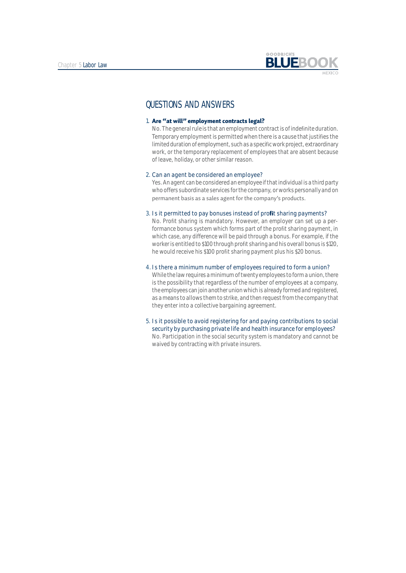

## QUESTIONS AND ANSWERS

### 1. Are "at will" employment contracts legal?

No. The general rule is that an employment contract is of indefinite duration. Temporary employment is permitted when there is a cause that justifies the limited duration of employment, such as a specific work project, extraordinary work, or the temporary replacement of employees that are absent because of leave, holiday, or other similar reason.

#### 2. Can an agent be considered an employee?

Yes. An agent can be considered an employee if that individual is a third party who offers subordinate services for the company, or works personally and on permanent basis as a sales agent for the company's products.

### 3. Is it permitted to pay bonuses instead of profit sharing payments?

No. Profit sharing is mandatory. However, an employer can set up a performance bonus system which forms part of the profit sharing payment, in which case, any difference will be paid through a bonus. For example, if the worker is entitled to \$100 through profit sharing and his overall bonus is \$120, he would receive his \$100 profit sharing payment plus his \$20 bonus.

#### 4. Is there a minimum number of employees required to form a union?

While the law requires a minimum of twenty employees to form a union, there is the possibility that regardless of the number of employees at a company, the employees can join another union which is already formed and registered, as a means to allows them to strike, and then request from the company that they enter into a collective bargaining agreement.

5. Is it possible to avoid registering for and paying contributions to social security by purchasing private life and health insurance for employees? No. Participation in the social security system is mandatory and cannot be waived by contracting with private insurers.